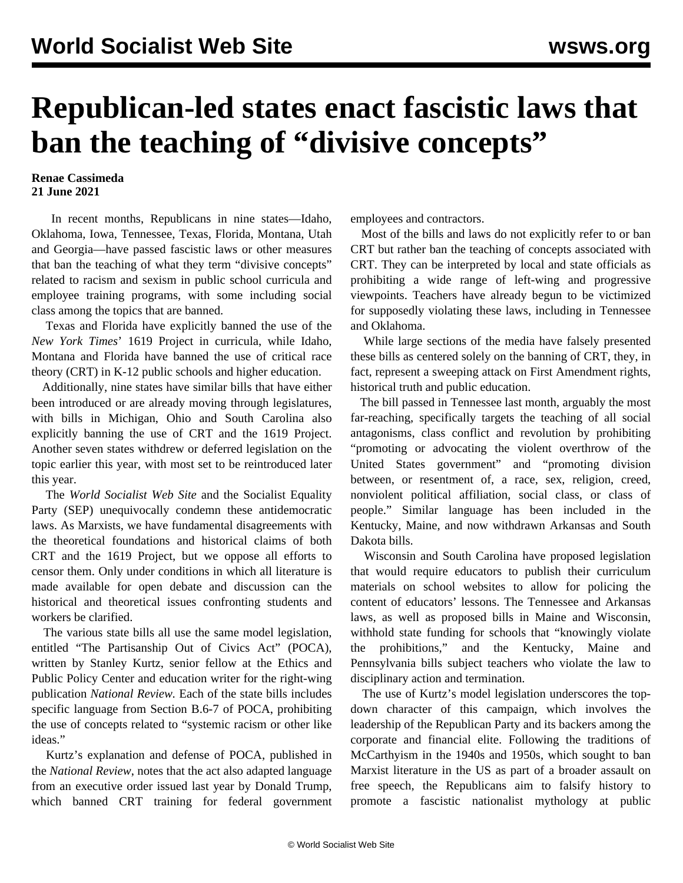## **Republican-led states enact fascistic laws that ban the teaching of "divisive concepts"**

## **Renae Cassimeda 21 June 2021**

 In recent months, Republicans in nine states—Idaho, Oklahoma, Iowa, Tennessee, Texas, Florida, Montana, Utah and Georgia—have passed fascistic laws or other measures that ban the teaching of what they term "divisive concepts" related to racism and sexism in public school curricula and employee training programs, with some including social class among the topics that are banned.

 Texas and Florida have explicitly banned the use of the *New York Times*' 1619 Project in curricula, while Idaho, Montana and Florida have banned the use of critical race theory (CRT) in K-12 public schools and higher education.

 Additionally, nine states have similar bills that have either been introduced or are already moving through legislatures, with bills in Michigan, Ohio and South Carolina also explicitly banning the use of CRT and the 1619 Project. Another seven states withdrew or deferred legislation on the topic earlier this year, with most set to be reintroduced later this year.

 The *World Socialist Web Site* and the Socialist Equality Party (SEP) unequivocally condemn these antidemocratic laws. As Marxists, we have fundamental disagreements with the theoretical foundations and historical claims of both CRT and the 1619 Project, but we oppose all efforts to censor them. Only under conditions in which all literature is made available for open debate and discussion can the historical and theoretical issues confronting students and workers be clarified.

 The various state bills all use the same model legislation, entitled "The Partisanship Out of Civics Act" (POCA), written by Stanley Kurtz, senior fellow at the Ethics and Public Policy Center and education writer for the right-wing publication *National Review.* Each of the state bills includes specific language from Section B.6-7 of POCA, prohibiting the use of concepts related to "systemic racism or other like ideas."

 Kurtz's explanation and defense of POCA, published in the *National Review*, notes that the act also adapted language from an executive order issued last year by Donald Trump, which banned CRT training for federal government employees and contractors.

 Most of the bills and laws do not explicitly refer to or ban CRT but rather ban the teaching of concepts associated with CRT. They can be interpreted by local and state officials as prohibiting a wide range of left-wing and progressive viewpoints. Teachers have already begun to be victimized for supposedly violating these laws, including in Tennessee and Oklahoma.

 While large sections of the media have falsely presented these bills as centered solely on the banning of CRT, they, in fact, represent a sweeping attack on First Amendment rights, historical truth and public education.

 The bill passed in Tennessee last month, arguably the most far-reaching, specifically targets the teaching of all social antagonisms, class conflict and revolution by prohibiting "promoting or advocating the violent overthrow of the United States government" and "promoting division between, or resentment of, a race, sex, religion, creed, nonviolent political affiliation, social class, or class of people." Similar language has been included in the Kentucky, Maine, and now withdrawn Arkansas and South Dakota bills.

 Wisconsin and South Carolina have proposed legislation that would require educators to publish their curriculum materials on school websites to allow for policing the content of educators' lessons. The Tennessee and Arkansas laws, as well as proposed bills in Maine and Wisconsin, withhold state funding for schools that "knowingly violate the prohibitions," and the Kentucky, Maine and Pennsylvania bills subject teachers who violate the law to disciplinary action and termination.

 The use of Kurtz's model legislation underscores the topdown character of this campaign, which involves the leadership of the Republican Party and its backers among the corporate and financial elite. Following the traditions of McCarthyism in the 1940s and 1950s, which sought to ban Marxist literature in the US as part of a broader assault on free speech, the Republicans aim to falsify history to promote a fascistic nationalist mythology at public